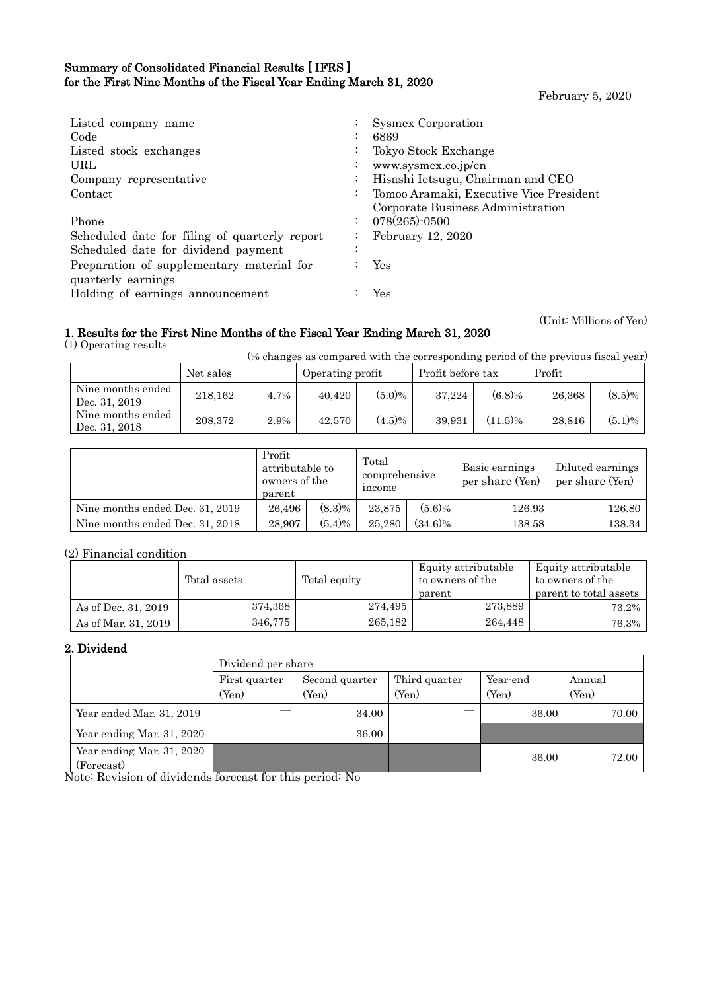## Summary of Consolidated Financial Results [ IFRS ] for the First Nine Months of the Fiscal Year Ending March 31, 2020

February 5, 2020

| Listed company name<br>Code                   |                      | <b>Sysmex Corporation</b><br>6869       |
|-----------------------------------------------|----------------------|-----------------------------------------|
| Listed stock exchanges                        |                      | Tokyo Stock Exchange                    |
| URL                                           |                      | www.sysmex.co.jp/en                     |
| Company representative                        |                      | Hisashi Ietsugu, Chairman and CEO       |
| Contact                                       | $\ddot{\phantom{0}}$ | Tomoo Aramaki, Executive Vice President |
|                                               |                      | Corporate Business Administration       |
| Phone                                         |                      | 078(265)-0500                           |
| Scheduled date for filing of quarterly report |                      | February 12, 2020                       |
| Scheduled date for dividend payment           |                      |                                         |
| Preparation of supplementary material for     |                      | Yes                                     |
| quarterly earnings                            |                      |                                         |
| Holding of earnings announcement              |                      | Yes                                     |
|                                               |                      |                                         |

#### 1. Results for the First Nine Months of the Fiscal Year Ending March 31, 2020 (1) Operating results

(Unit: Millions of Yen)

(% changes as compared with the corresponding period of the previous fiscal year)

|                                    | Net sales |      | Operating profit |           | Profit before tax |            | Profit |           |
|------------------------------------|-----------|------|------------------|-----------|-------------------|------------|--------|-----------|
| Nine months ended<br>Dec. 31, 2019 | 218.162   | 4.7% | 40.420           | $(5.0)\%$ | 37,224            | $(6.8)\%$  | 26,368 | $(8.5)\%$ |
| Nine months ended<br>Dec. 31, 2018 | 208,372   | 2.9% | 42.570           | $(4.5)\%$ | 39.931            | $(11.5)\%$ | 28.816 | $(5.1)\%$ |

|                                 | Profit<br>parent | attributable to<br>owners of the |        | comprehensive | Basic earnings<br>per share (Yen) | Diluted earnings<br>per share (Yen) |
|---------------------------------|------------------|----------------------------------|--------|---------------|-----------------------------------|-------------------------------------|
| Nine months ended Dec. 31, 2019 | 26.496           | $(8.3)\%$                        | 23.875 | $(5.6)\%$     | 126.93                            | 126.80                              |
| Nine months ended Dec. 31, 2018 | 28,907           | $(5.4)\%$                        | 25.280 | $(34.6)\%$    | 138.58                            | 138.34                              |

## (2) Financial condition

|                     | Total assets | Total equity | Equity attributable<br>to owners of the<br>parent | Equity attributable<br>to owners of the<br>parent to total assets |
|---------------------|--------------|--------------|---------------------------------------------------|-------------------------------------------------------------------|
| As of Dec. 31, 2019 | 374,368      | 274,495      | 273,889                                           | 73.2%                                                             |
| As of Mar. 31, 2019 | 346,775      | 265,182      | 264.448                                           | 76.3%                                                             |

## 2. Dividend

|                                                     | Dividend per share |                |               |          |        |  |  |  |
|-----------------------------------------------------|--------------------|----------------|---------------|----------|--------|--|--|--|
|                                                     | First quarter      | Second quarter | Third quarter | Year-end | Annual |  |  |  |
|                                                     | (Yen)              | (Yen)          | (Yen)         | (Yen)    | (Yen)  |  |  |  |
| Year ended Mar. 31, 2019                            |                    | 34.00          |               | 36.00    | 70.00  |  |  |  |
| Year ending Mar. 31, 2020                           |                    | 36.00          |               |          |        |  |  |  |
| Year ending Mar. 31, 2020<br>(Forecast)<br>.<br>- - | $ -$               | .              |               | 36.00    | 72.00  |  |  |  |

Note: Revision of dividends forecast for this period: No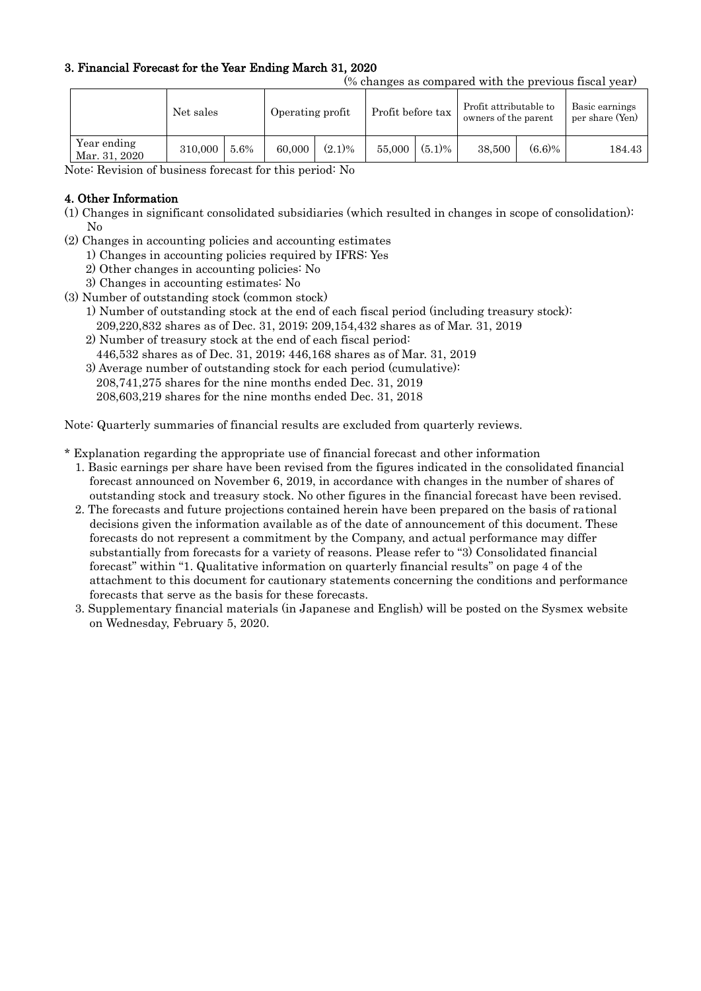## 3. Financial Forecast for the Year Ending March 31, 2020

(% changes as compared with the previous fiscal year)

| Year ending<br>$(5.1)\%$<br>(6.6)%<br>$(2.1)\%$<br>5.6%<br>55,000<br>38.500<br>310,000<br>60,000 |               | Net sales | Operating profit |  | Profit before tax |  | Profit attributable to<br>owners of the parent |  | Basic earnings<br>per share (Yen) |
|--------------------------------------------------------------------------------------------------|---------------|-----------|------------------|--|-------------------|--|------------------------------------------------|--|-----------------------------------|
|                                                                                                  | Mar. 31, 2020 |           |                  |  |                   |  |                                                |  | 184.43                            |

Note: Revision of business forecast for this period: No

### 4. Other Information

- (1) Changes in significant consolidated subsidiaries (which resulted in changes in scope of consolidation): No
- (2) Changes in accounting policies and accounting estimates
	- 1) Changes in accounting policies required by IFRS: Yes
	- 2) Other changes in accounting policies: No
	- 3) Changes in accounting estimates: No
- (3) Number of outstanding stock (common stock)
	- 1) Number of outstanding stock at the end of each fiscal period (including treasury stock): 209,220,832 shares as of Dec. 31, 2019; 209,154,432 shares as of Mar. 31, 2019
	- 2) Number of treasury stock at the end of each fiscal period: 446,532 shares as of Dec. 31, 2019; 446,168 shares as of Mar. 31, 2019
	- 3) Average number of outstanding stock for each period (cumulative): 208,741,275 shares for the nine months ended Dec. 31, 2019 208,603,219 shares for the nine months ended Dec. 31, 2018

Note: Quarterly summaries of financial results are excluded from quarterly reviews.

- \* Explanation regarding the appropriate use of financial forecast and other information
	- 1. Basic earnings per share have been revised from the figures indicated in the consolidated financial forecast announced on November 6, 2019, in accordance with changes in the number of shares of outstanding stock and treasury stock. No other figures in the financial forecast have been revised.
	- 2. The forecasts and future projections contained herein have been prepared on the basis of rational decisions given the information available as of the date of announcement of this document. These forecasts do not represent a commitment by the Company, and actual performance may differ substantially from forecasts for a variety of reasons. Please refer to "3) Consolidated financial forecast" within "1. Qualitative information on quarterly financial results" on page 4 of the attachment to this document for cautionary statements concerning the conditions and performance forecasts that serve as the basis for these forecasts.
	- 3. Supplementary financial materials (in Japanese and English) will be posted on the Sysmex website on Wednesday, February 5, 2020.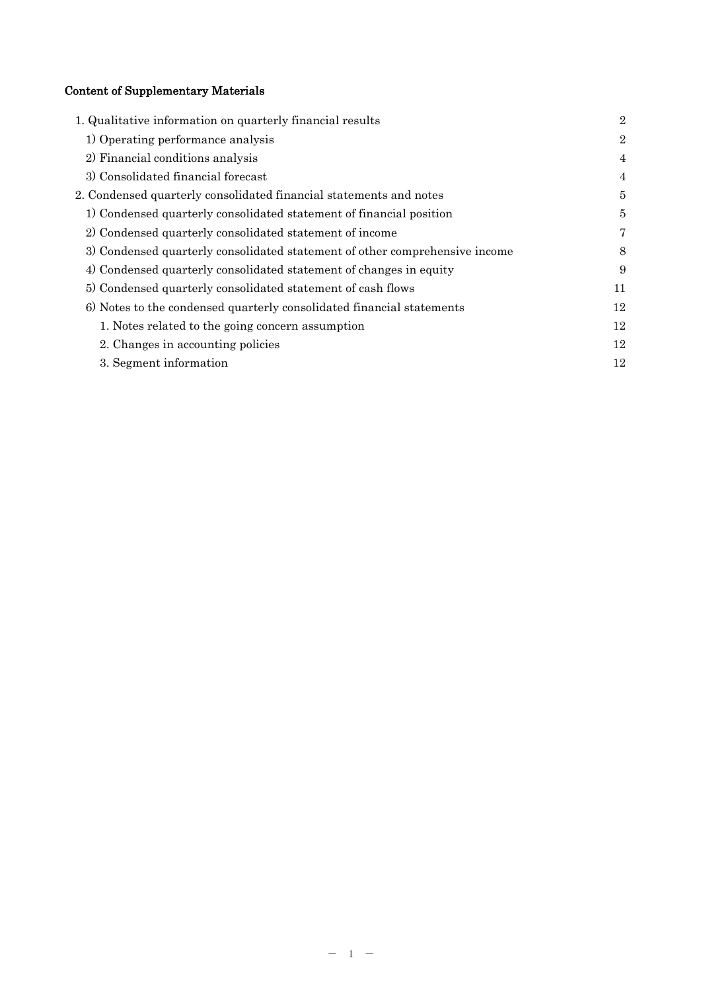# Content of Supplementary Materials

| 1. Qualitative information on quarterly financial results                   | $\overline{2}$ |
|-----------------------------------------------------------------------------|----------------|
| 1) Operating performance analysis                                           | $\overline{2}$ |
| 2) Financial conditions analysis                                            | 4              |
| 3) Consolidated financial forecast                                          | 4              |
| 2. Condensed quarterly consolidated financial statements and notes          | 5              |
| 1) Condensed quarterly consolidated statement of financial position         | 5              |
| 2) Condensed quarterly consolidated statement of income                     | 7              |
| 3) Condensed quarterly consolidated statement of other comprehensive income | 8              |
| 4) Condensed quarterly consolidated statement of changes in equity          | 9              |
| 5) Condensed quarterly consolidated statement of cash flows                 | 11             |
| 6) Notes to the condensed quarterly consolidated financial statements       | 12             |
| 1. Notes related to the going concern assumption                            | 12             |
| 2. Changes in accounting policies                                           | 12             |
| 3. Segment information                                                      | 12             |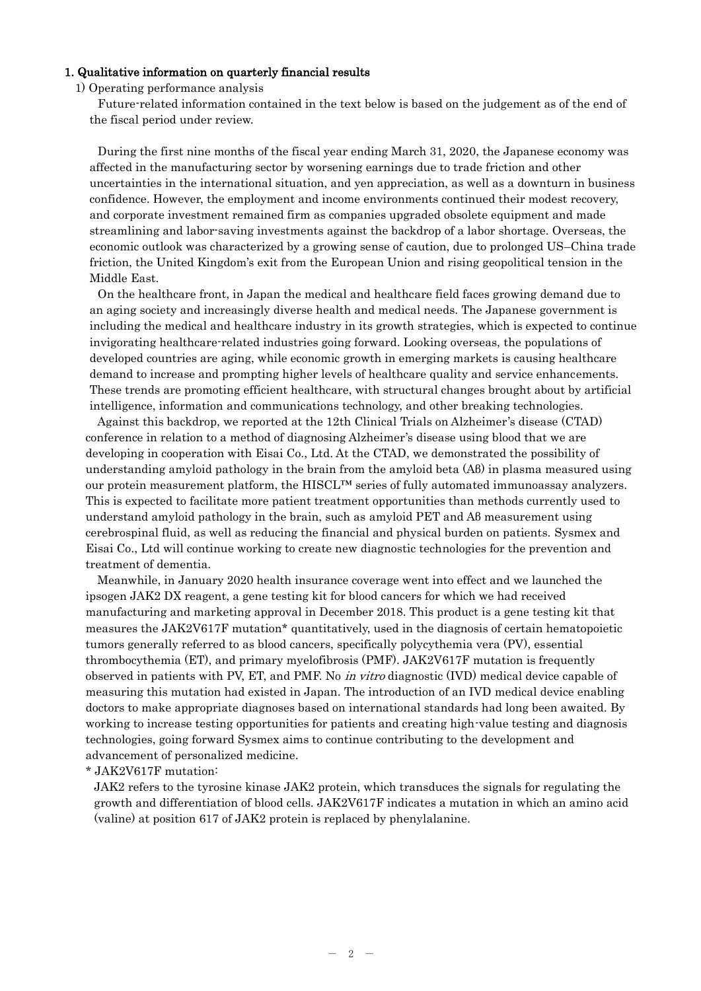#### 1. Qualitative information on quarterly financial results

#### 1) Operating performance analysis

Future-related information contained in the text below is based on the judgement as of the end of the fiscal period under review.

During the first nine months of the fiscal year ending March 31, 2020, the Japanese economy was affected in the manufacturing sector by worsening earnings due to trade friction and other uncertainties in the international situation, and yen appreciation, as well as a downturn in business confidence. However, the employment and income environments continued their modest recovery, and corporate investment remained firm as companies upgraded obsolete equipment and made streamlining and labor-saving investments against the backdrop of a labor shortage. Overseas, the economic outlook was characterized by a growing sense of caution, due to prolonged US–China trade friction, the United Kingdom's exit from the European Union and rising geopolitical tension in the Middle East.

On the healthcare front, in Japan the medical and healthcare field faces growing demand due to an aging society and increasingly diverse health and medical needs. The Japanese government is including the medical and healthcare industry in its growth strategies, which is expected to continue invigorating healthcare-related industries going forward. Looking overseas, the populations of developed countries are aging, while economic growth in emerging markets is causing healthcare demand to increase and prompting higher levels of healthcare quality and service enhancements. These trends are promoting efficient healthcare, with structural changes brought about by artificial intelligence, information and communications technology, and other breaking technologies.

Against this backdrop, we reported at the 12th Clinical Trials on Alzheimer's disease (CTAD) conference in relation to a method of diagnosing Alzheimer's disease using blood that we are developing in cooperation with Eisai Co., Ltd. At the CTAD, we demonstrated the possibility of understanding amyloid pathology in the brain from the amyloid beta (Aβ) in plasma measured using our protein measurement platform, the HISCL™ series of fully automated immunoassay analyzers. This is expected to facilitate more patient treatment opportunities than methods currently used to understand amyloid pathology in the brain, such as amyloid PET and Aβ measurement using cerebrospinal fluid, as well as reducing the financial and physical burden on patients. Sysmex and Eisai Co., Ltd will continue working to create new diagnostic technologies for the prevention and treatment of dementia.

Meanwhile, in January 2020 health insurance coverage went into effect and we launched the ipsogen JAK2 DX reagent, a gene testing kit for blood cancers for which we had received manufacturing and marketing approval in December 2018. This product is a gene testing kit that measures the JAK2V617F mutation\* quantitatively, used in the diagnosis of certain hematopoietic tumors generally referred to as blood cancers, specifically polycythemia vera (PV), essential thrombocythemia (ET), and primary myelofibrosis (PMF). JAK2V617F mutation is frequently observed in patients with PV, ET, and PMF. No in vitro diagnostic (IVD) medical device capable of measuring this mutation had existed in Japan. The introduction of an IVD medical device enabling doctors to make appropriate diagnoses based on international standards had long been awaited. By working to increase testing opportunities for patients and creating high-value testing and diagnosis technologies, going forward Sysmex aims to continue contributing to the development and advancement of personalized medicine.

\* JAK2V617F mutation:

JAK2 refers to the tyrosine kinase JAK2 protein, which transduces the signals for regulating the growth and differentiation of blood cells. JAK2V617F indicates a mutation in which an amino acid (valine) at position 617 of JAK2 protein is replaced by phenylalanine.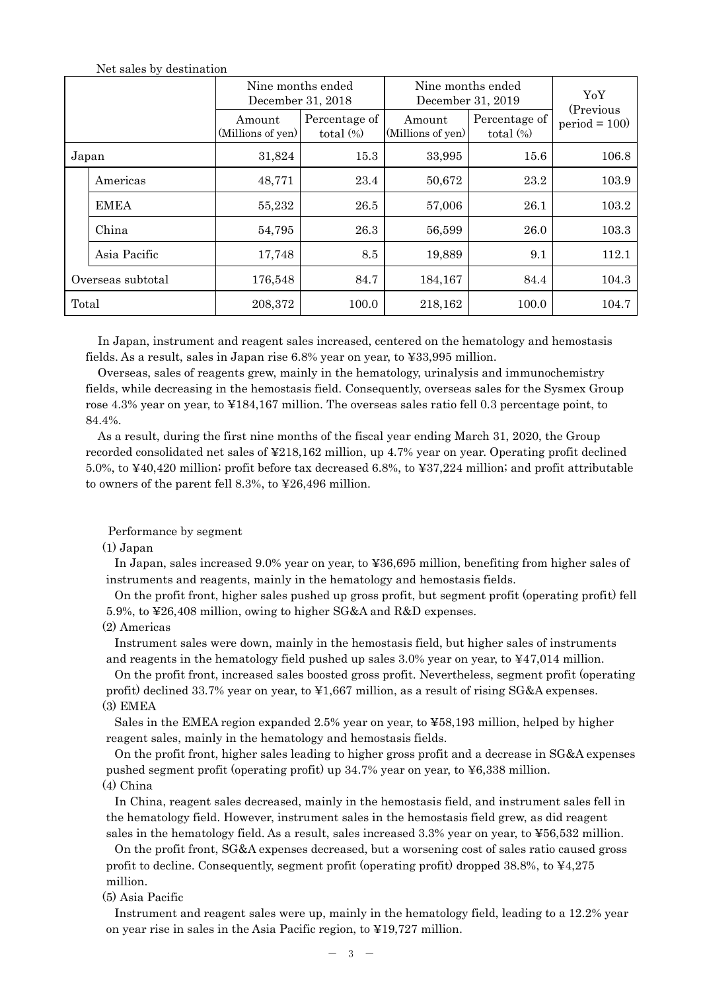|                   | $1000$ sales $\omega$ , acceleration | Nine months ended<br>December 31, 2018 |                               | Nine months ended<br>December 31, 2019 | YoY                           |                             |
|-------------------|--------------------------------------|----------------------------------------|-------------------------------|----------------------------------------|-------------------------------|-----------------------------|
|                   |                                      | Amount<br>(Millions of yen)            | Percentage of<br>total $(\%)$ | Amount<br>(Millions of yen)            | Percentage of<br>total $(\%)$ | (Previous<br>$period = 100$ |
| Japan             |                                      | 31,824                                 | 15.3                          | 33,995                                 | 15.6                          | 106.8                       |
|                   | Americas                             | 48,771                                 | 23.4                          | 50,672                                 | 23.2                          | 103.9                       |
|                   | <b>EMEA</b>                          | 55,232                                 | 26.5                          | 57,006                                 | 26.1                          | 103.2                       |
|                   | China                                | 54,795                                 | 26.3                          | 56,599                                 | 26.0                          | 103.3                       |
|                   | Asia Pacific                         | 17,748                                 | 8.5                           | 19,889                                 | 9.1                           | 112.1                       |
| Overseas subtotal |                                      | 176,548                                | 84.7                          | 184,167                                | 84.4                          | 104.3                       |
| Total             |                                      | 208,372                                | 100.0                         | 218,162                                | 100.0                         | 104.7                       |

Net sales by destination

In Japan, instrument and reagent sales increased, centered on the hematology and hemostasis fields. As a result, sales in Japan rise 6.8% year on year, to ¥33,995 million.

Overseas, sales of reagents grew, mainly in the hematology, urinalysis and immunochemistry fields, while decreasing in the hemostasis field. Consequently, overseas sales for the Sysmex Group rose 4.3% year on year, to ¥184,167 million. The overseas sales ratio fell 0.3 percentage point, to 84.4%.

As a result, during the first nine months of the fiscal year ending March 31, 2020, the Group recorded consolidated net sales of ¥218,162 million, up 4.7% year on year. Operating profit declined 5.0%, to ¥40,420 million; profit before tax decreased 6.8%, to ¥37,224 million; and profit attributable to owners of the parent fell 8.3%, to ¥26,496 million.

Performance by segment

#### (1) Japan

In Japan, sales increased 9.0% year on year, to ¥36,695 million, benefiting from higher sales of instruments and reagents, mainly in the hematology and hemostasis fields.

On the profit front, higher sales pushed up gross profit, but segment profit (operating profit) fell 5.9%, to ¥26,408 million, owing to higher SG&A and R&D expenses.

(2) Americas

Instrument sales were down, mainly in the hemostasis field, but higher sales of instruments and reagents in the hematology field pushed up sales 3.0% year on year, to ¥47,014 million.

On the profit front, increased sales boosted gross profit. Nevertheless, segment profit (operating profit) declined 33.7% year on year, to ¥1,667 million, as a result of rising SG&A expenses. (3) EMEA

Sales in the EMEA region expanded 2.5% year on year, to ¥58,193 million, helped by higher reagent sales, mainly in the hematology and hemostasis fields.

On the profit front, higher sales leading to higher gross profit and a decrease in SG&A expenses pushed segment profit (operating profit) up 34.7% year on year, to ¥6,338 million. (4) China

In China, reagent sales decreased, mainly in the hemostasis field, and instrument sales fell in the hematology field. However, instrument sales in the hemostasis field grew, as did reagent sales in the hematology field. As a result, sales increased 3.3% year on year, to ¥56,532 million.

On the profit front, SG&A expenses decreased, but a worsening cost of sales ratio caused gross profit to decline. Consequently, segment profit (operating profit) dropped 38.8%, to ¥4,275 million.

(5) Asia Pacific

Instrument and reagent sales were up, mainly in the hematology field, leading to a 12.2% year on year rise in sales in the Asia Pacific region, to ¥19,727 million.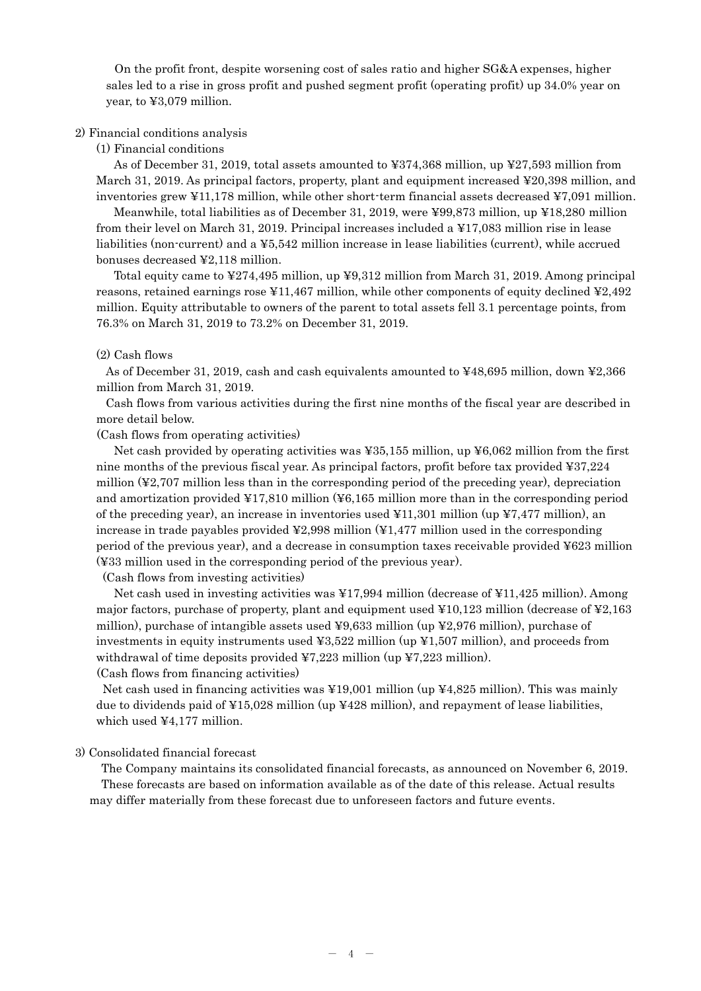On the profit front, despite worsening cost of sales ratio and higher SG&A expenses, higher sales led to a rise in gross profit and pushed segment profit (operating profit) up 34.0% year on year, to ¥3,079 million.

#### 2) Financial conditions analysis

(1) Financial conditions

As of December 31, 2019, total assets amounted to ¥374,368 million, up ¥27,593 million from March 31, 2019. As principal factors, property, plant and equipment increased ¥20,398 million, and inventories grew ¥11,178 million, while other short-term financial assets decreased ¥7,091 million.

Meanwhile, total liabilities as of December 31, 2019, were ¥99,873 million, up ¥18,280 million from their level on March 31, 2019. Principal increases included a ¥17,083 million rise in lease liabilities (non-current) and a ¥5,542 million increase in lease liabilities (current), while accrued bonuses decreased ¥2,118 million.

Total equity came to ¥274,495 million, up ¥9,312 million from March 31, 2019. Among principal reasons, retained earnings rose ¥11,467 million, while other components of equity declined ¥2,492 million. Equity attributable to owners of the parent to total assets fell 3.1 percentage points, from 76.3% on March 31, 2019 to 73.2% on December 31, 2019.

### (2) Cash flows

As of December 31, 2019, cash and cash equivalents amounted to ¥48,695 million, down ¥2,366 million from March 31, 2019.

Cash flows from various activities during the first nine months of the fiscal year are described in more detail below.

(Cash flows from operating activities)

Net cash provided by operating activities was ¥35,155 million, up ¥6,062 million from the first nine months of the previous fiscal year. As principal factors, profit before tax provided ¥37,224 million (¥2,707 million less than in the corresponding period of the preceding year), depreciation and amortization provided ¥17,810 million (¥6,165 million more than in the corresponding period of the preceding year), an increase in inventories used ¥11,301 million (up ¥7,477 million), an increase in trade payables provided  $\frac{42,998}{100}$  million  $\left(\frac{41,477}{100}\right)$  million used in the corresponding period of the previous year), and a decrease in consumption taxes receivable provided ¥623 million (¥33 million used in the corresponding period of the previous year).

(Cash flows from investing activities)

Net cash used in investing activities was ¥17,994 million (decrease of ¥11,425 million). Among major factors, purchase of property, plant and equipment used ¥10,123 million (decrease of ¥2,163 million), purchase of intangible assets used ¥9,633 million (up ¥2,976 million), purchase of investments in equity instruments used ¥3,522 million (up ¥1,507 million), and proceeds from withdrawal of time deposits provided  $\frac{47}{223}$  million (up  $\frac{47}{223}$  million). (Cash flows from financing activities)

Net cash used in financing activities was ¥19,001 million (up ¥4,825 million). This was mainly due to dividends paid of ¥15,028 million (up ¥428 million), and repayment of lease liabilities, which used ¥4,177 million.

#### 3) Consolidated financial forecast

 The Company maintains its consolidated financial forecasts, as announced on November 6, 2019. These forecasts are based on information available as of the date of this release. Actual results may differ materially from these forecast due to unforeseen factors and future events.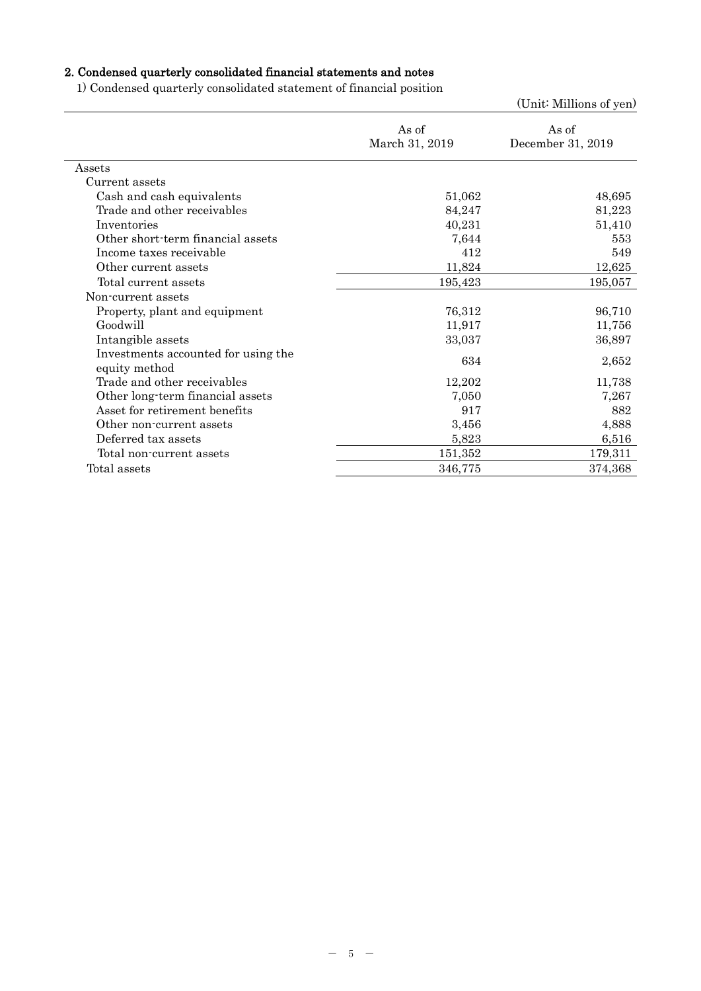# 2. Condensed quarterly consolidated financial statements and notes

1) Condensed quarterly consolidated statement of financial position

|                                                      |                         | (Unit: Millions of yen)    |
|------------------------------------------------------|-------------------------|----------------------------|
|                                                      | As of<br>March 31, 2019 | As of<br>December 31, 2019 |
| Assets                                               |                         |                            |
| Current assets                                       |                         |                            |
| Cash and cash equivalents                            | 51,062                  | 48,695                     |
| Trade and other receivables                          | 84,247                  | 81,223                     |
| Inventories                                          | 40,231                  | 51,410                     |
| Other short-term financial assets                    | 7,644                   | 553                        |
| Income taxes receivable                              | 412                     | 549                        |
| Other current assets                                 | 11,824                  | 12,625                     |
| Total current assets                                 | 195,423                 | 195,057                    |
| Non-current assets                                   |                         |                            |
| Property, plant and equipment                        | 76,312                  | 96,710                     |
| Goodwill                                             | 11,917                  | 11,756                     |
| Intangible assets                                    | 33,037                  | 36,897                     |
| Investments accounted for using the<br>equity method | 634                     | 2,652                      |
| Trade and other receivables                          | 12,202                  | 11,738                     |
| Other long-term financial assets                     | 7,050                   | 7,267                      |
| Asset for retirement benefits                        | 917                     | 882                        |
| Other non-current assets                             | 3,456                   | 4,888                      |
| Deferred tax assets                                  | 5,823                   | 6,516                      |
| Total non-current assets                             | 151,352                 | 179,311                    |
| Total assets                                         | 346,775                 | 374,368                    |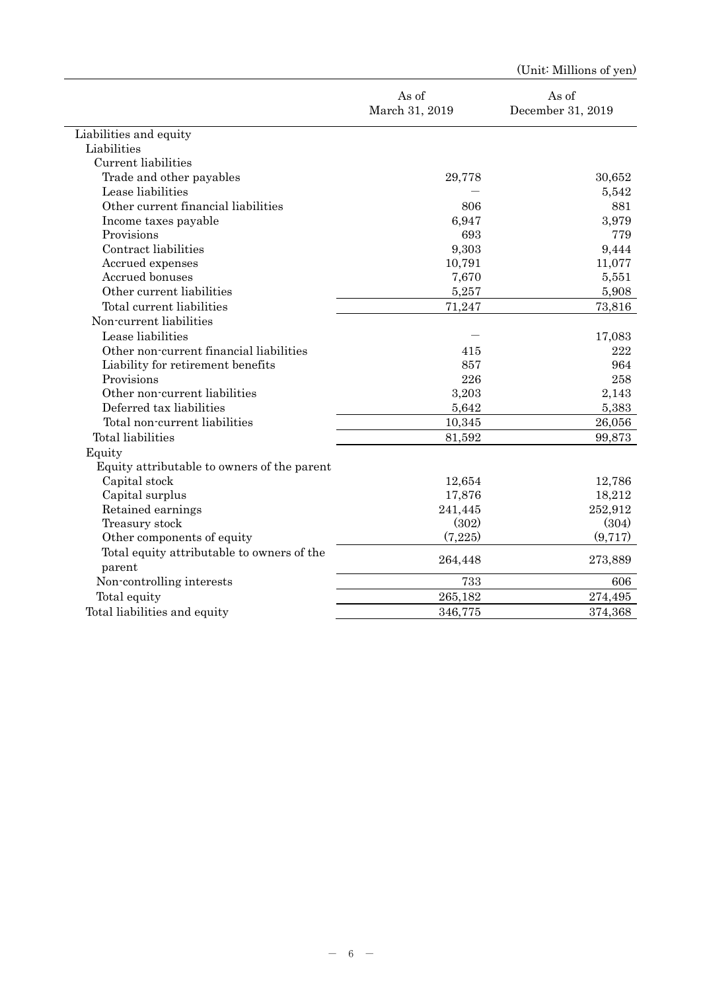|                                             |                         | (Unit: Millions of yen)    |
|---------------------------------------------|-------------------------|----------------------------|
|                                             | As of<br>March 31, 2019 | As of<br>December 31, 2019 |
| Liabilities and equity                      |                         |                            |
| Liabilities                                 |                         |                            |
| Current liabilities                         |                         |                            |
| Trade and other payables                    | 29,778                  | 30,652                     |
| Lease liabilities                           |                         | 5,542                      |
| Other current financial liabilities         | 806                     | 881                        |
| Income taxes payable                        | 6,947                   | 3,979                      |
| Provisions                                  | 693                     | 779                        |
| Contract liabilities                        | 9,303                   | 9,444                      |
| Accrued expenses                            | 10,791                  | 11,077                     |
| Accrued bonuses                             | 7,670                   | 5,551                      |
| Other current liabilities                   | 5,257                   | 5,908                      |
| Total current liabilities                   | 71,247                  | 73,816                     |
| Non-current liabilities                     |                         |                            |
| Lease liabilities                           |                         | 17,083                     |
| Other non-current financial liabilities     | 415                     | 222                        |
| Liability for retirement benefits           | 857                     | 964                        |
| Provisions                                  | 226                     | 258                        |
| Other non-current liabilities               | 3,203                   | 2,143                      |
| Deferred tax liabilities                    | 5,642                   | 5,383                      |
| Total non-current liabilities               | 10,345                  | 26,056                     |
| Total liabilities                           | 81,592                  | 99,873                     |
| Equity                                      |                         |                            |
| Equity attributable to owners of the parent |                         |                            |
| Capital stock                               | 12,654                  | 12,786                     |
| Capital surplus                             | 17,876                  | 18,212                     |
| Retained earnings                           | 241,445                 | 252,912                    |
| Treasury stock                              | (302)                   | (304)                      |
| Other components of equity                  | (7,225)                 | (9,717)                    |
| Total equity attributable to owners of the  |                         |                            |
| parent                                      | 264,448                 | 273,889                    |
| Non-controlling interests                   | 733                     | 606                        |
| Total equity                                | 265,182                 | 274,495                    |
| Total liabilities and equity                | 346,775                 | 374,368                    |
|                                             |                         |                            |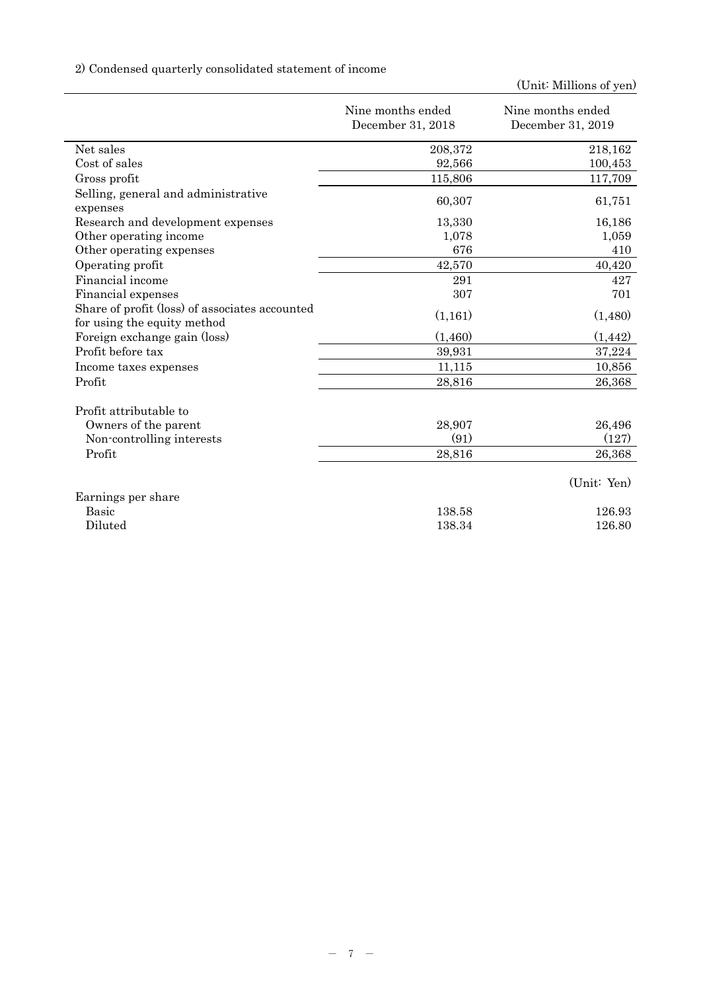# 2) Condensed quarterly consolidated statement of income

|                                                                               | Nine months ended | Nine months ended |
|-------------------------------------------------------------------------------|-------------------|-------------------|
|                                                                               | December 31, 2018 | December 31, 2019 |
| Net sales                                                                     | 208,372           | 218,162           |
| Cost of sales                                                                 | 92,566            | 100,453           |
| Gross profit                                                                  | 115,806           | 117,709           |
| Selling, general and administrative<br>expenses                               | 60,307            | 61,751            |
| Research and development expenses                                             | 13,330            | 16,186            |
| Other operating income                                                        | 1,078             | 1,059             |
| Other operating expenses                                                      | 676               | 410               |
| Operating profit                                                              | 42,570            | 40,420            |
| Financial income                                                              | 291               | 427               |
| Financial expenses                                                            | 307               | 701               |
| Share of profit (loss) of associates accounted<br>for using the equity method | (1,161)           | (1,480)           |
| Foreign exchange gain (loss)                                                  | (1,460)           | (1, 442)          |
| Profit before tax                                                             | 39,931            | 37,224            |
| Income taxes expenses                                                         | 11,115            | 10,856            |
| Profit                                                                        | 28,816            | 26,368            |
| Profit attributable to                                                        |                   |                   |
| Owners of the parent                                                          | 28,907            | 26,496            |
| Non-controlling interests                                                     | (91)              | (127)             |
| Profit                                                                        | 28,816            | 26,368            |
|                                                                               |                   | (Unit: Yen)       |
| Earnings per share                                                            |                   |                   |
| <b>Basic</b>                                                                  | 138.58            | 126.93            |
| Diluted                                                                       | 138.34            | 126.80            |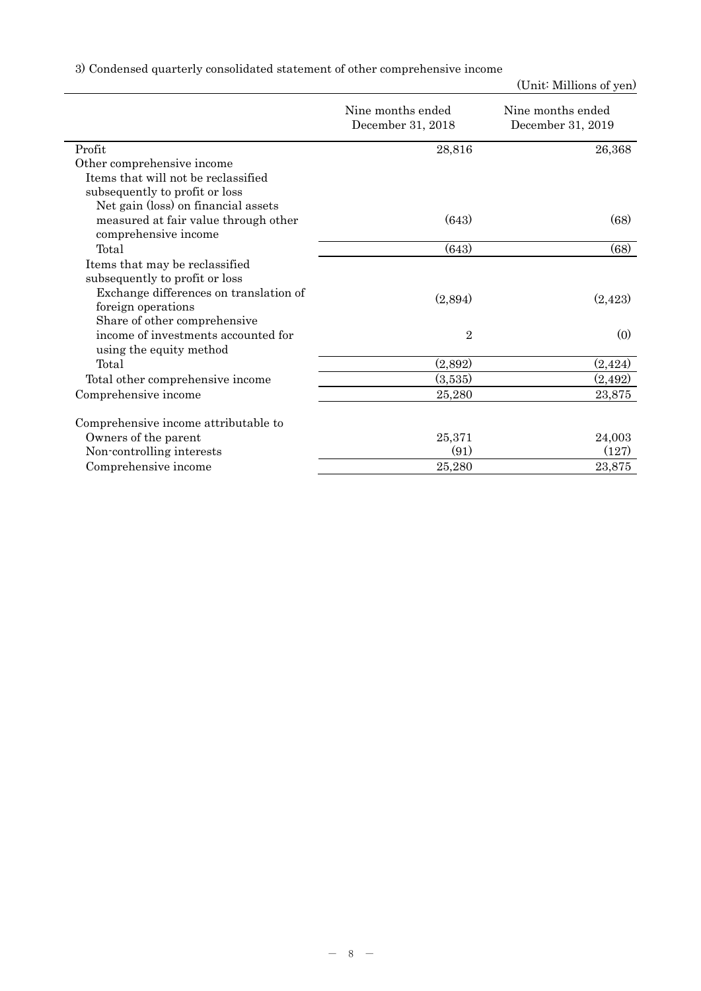|  |  |  | 3) Condensed quarterly consolidated statement of other comprehensive income |  |
|--|--|--|-----------------------------------------------------------------------------|--|
|  |  |  |                                                                             |  |

|                                                              | Nine months ended<br>December 31, 2018 | Nine months ended<br>December 31, 2019 |
|--------------------------------------------------------------|----------------------------------------|----------------------------------------|
| Profit                                                       | 28,816                                 | 26,368                                 |
| Other comprehensive income                                   |                                        |                                        |
| Items that will not be reclassified                          |                                        |                                        |
| subsequently to profit or loss                               |                                        |                                        |
| Net gain (loss) on financial assets                          |                                        |                                        |
| measured at fair value through other<br>comprehensive income | (643)                                  | (68)                                   |
| Total                                                        | (643)                                  | (68)                                   |
| Items that may be reclassified                               |                                        |                                        |
| subsequently to profit or loss                               |                                        |                                        |
| Exchange differences on translation of                       |                                        |                                        |
| foreign operations                                           | (2,894)                                | (2,423)                                |
| Share of other comprehensive                                 |                                        |                                        |
| income of investments accounted for                          | $\overline{2}$                         | (0)                                    |
| using the equity method                                      |                                        |                                        |
| Total                                                        | (2,892)                                | (2, 424)                               |
| Total other comprehensive income                             | (3,535)                                | (2,492)                                |
| Comprehensive income                                         | 25,280                                 | 23,875                                 |
| Comprehensive income attributable to                         |                                        |                                        |
| Owners of the parent                                         | 25,371                                 | 24,003                                 |
| Non-controlling interests                                    | (91)                                   | (127)                                  |
| Comprehensive income                                         | 25,280                                 | 23,875                                 |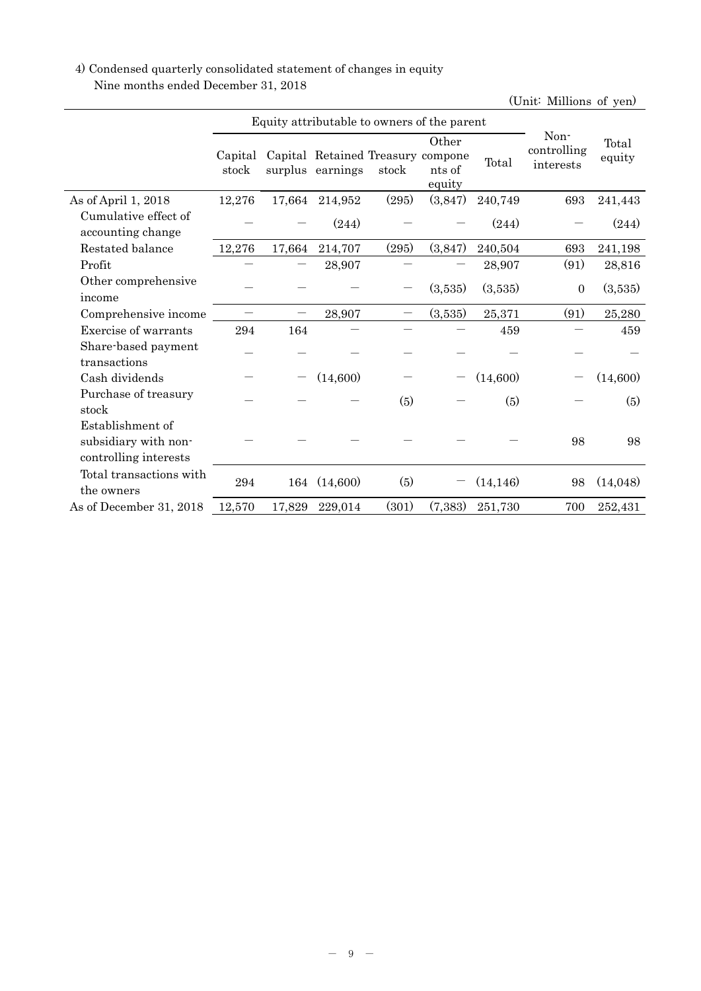## 4) Condensed quarterly consolidated statement of changes in equity Nine months ended December 31, 2018

| Equity attributable to owners of the parent                       |                  |        |                                                       |       |                           |           |                                  |                 |
|-------------------------------------------------------------------|------------------|--------|-------------------------------------------------------|-------|---------------------------|-----------|----------------------------------|-----------------|
|                                                                   | Capital<br>stock |        | Capital Retained Treasury compone<br>surplus earnings | stock | Other<br>nts of<br>equity | Total     | Non-<br>controlling<br>interests | Total<br>equity |
| As of April 1, 2018                                               | 12,276           | 17,664 | 214,952                                               | (295) | (3,847)                   | 240,749   | 693                              | 241,443         |
| Cumulative effect of<br>accounting change                         |                  |        | (244)                                                 |       |                           | (244)     |                                  | (244)           |
| Restated balance                                                  | 12,276           | 17,664 | 214,707                                               | (295) | (3,847)                   | 240,504   | 693                              | 241,198         |
| Profit                                                            |                  |        | 28,907                                                |       |                           | 28,907    | (91)                             | 28,816          |
| Other comprehensive<br>income                                     |                  |        |                                                       |       | (3,535)                   | (3,535)   | $\boldsymbol{0}$                 | (3,535)         |
| Comprehensive income                                              |                  |        | 28,907                                                |       | (3,535)                   | 25,371    | (91)                             | 25,280          |
| Exercise of warrants                                              | 294              | 164    |                                                       |       |                           | 459       |                                  | 459             |
| Share-based payment                                               |                  |        |                                                       |       |                           |           |                                  |                 |
| transactions<br>Cash dividends                                    |                  |        | (14,600)                                              |       |                           | (14,600)  |                                  | (14,600)        |
| Purchase of treasury<br>stock                                     |                  |        |                                                       | (5)   |                           | (5)       |                                  | (5)             |
| Establishment of<br>subsidiary with non-<br>controlling interests |                  |        |                                                       |       |                           |           | 98                               | 98              |
| Total transactions with<br>the owners                             | 294              | 164    | (14,600)                                              | (5)   |                           | (14, 146) | 98                               | (14,048)        |
| As of December 31, 2018                                           | 12,570           | 17,829 | 229,014                                               | (301) | (7,383)                   | 251,730   | 700                              | 252,431         |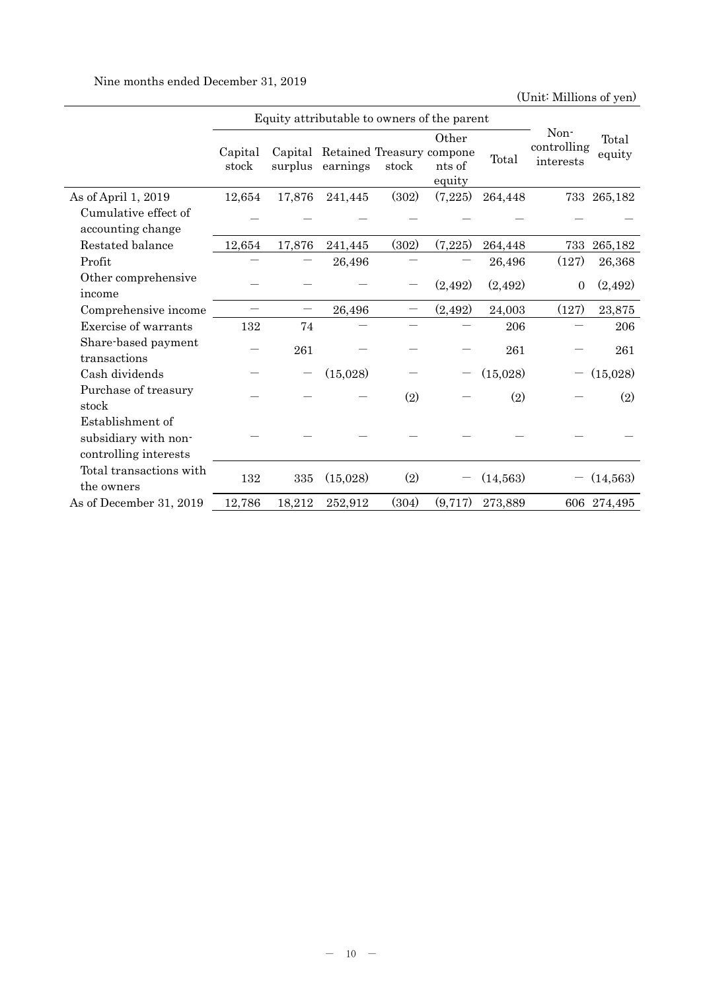Nine months ended December 31, 2019

|                                                                   | Equity attributable to owners of the parent |         |                                               |       |                           |           |                                  |                 |
|-------------------------------------------------------------------|---------------------------------------------|---------|-----------------------------------------------|-------|---------------------------|-----------|----------------------------------|-----------------|
|                                                                   | Capital<br>stock                            | surplus | Capital Retained Treasury compone<br>earnings | stock | Other<br>nts of<br>equity | Total     | Non-<br>controlling<br>interests | Total<br>equity |
| As of April 1, 2019                                               | 12,654                                      | 17,876  | 241,445                                       | (302) | (7,225)                   | 264,448   |                                  | 733 265,182     |
| Cumulative effect of<br>accounting change                         |                                             |         |                                               |       |                           |           |                                  |                 |
| Restated balance                                                  | 12,654                                      | 17,876  | 241,445                                       | (302) | (7,225)                   | 264,448   | 733                              | 265,182         |
| Profit                                                            |                                             |         | 26,496                                        |       |                           | 26,496    | (127)                            | 26,368          |
| Other comprehensive<br>income                                     |                                             |         |                                               |       | (2,492)                   | (2,492)   | $\overline{0}$                   | (2,492)         |
| Comprehensive income                                              |                                             |         | 26,496                                        |       | (2,492)                   | 24,003    | (127)                            | 23,875          |
| Exercise of warrants                                              | 132                                         | 74      |                                               |       |                           | 206       |                                  | 206             |
| Share-based payment<br>transactions                               |                                             | 261     |                                               |       |                           | 261       |                                  | 261             |
| Cash dividends                                                    |                                             |         | (15,028)                                      |       |                           | (15,028)  |                                  | (15,028)        |
| Purchase of treasury<br>stock                                     |                                             |         |                                               | (2)   |                           | (2)       |                                  | (2)             |
| Establishment of<br>subsidiary with non-<br>controlling interests |                                             |         |                                               |       |                           |           |                                  |                 |
| Total transactions with<br>the owners                             | 132                                         | 335     | (15,028)                                      | (2)   |                           | (14, 563) |                                  | (14, 563)       |
| As of December 31, 2019                                           | 12,786                                      | 18,212  | 252,912                                       | (304) | (9,717)                   | 273,889   |                                  | 606 274,495     |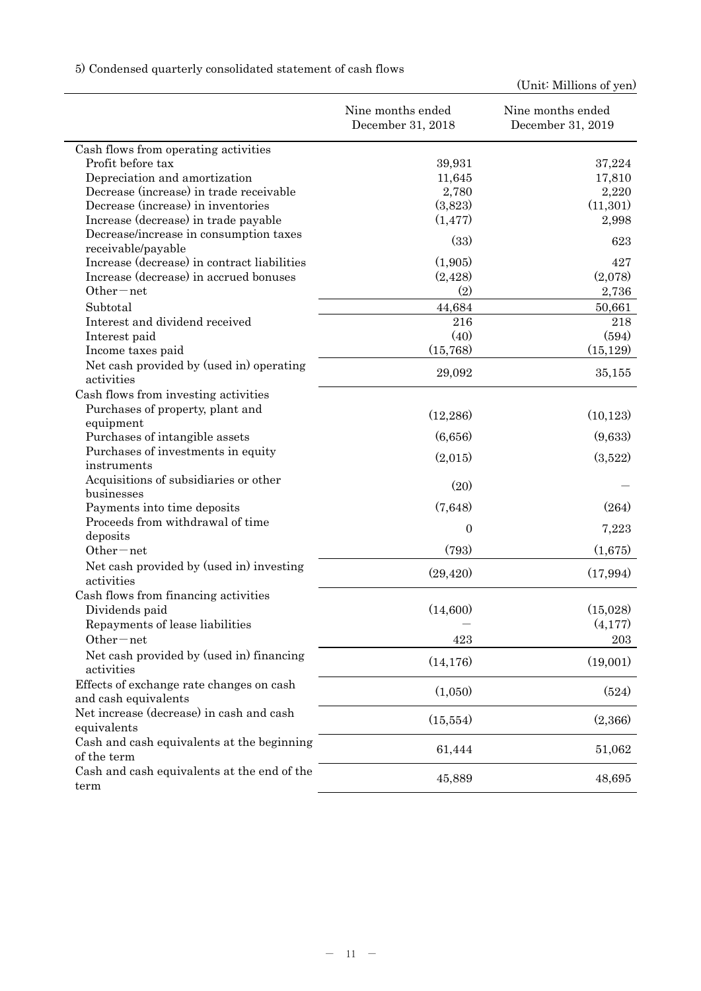5) Condensed quarterly consolidated statement of cash flows

|                                                              | Nine months ended<br>December 31, 2018 | Nine months ended<br>December 31, 2019 |
|--------------------------------------------------------------|----------------------------------------|----------------------------------------|
| Cash flows from operating activities                         |                                        |                                        |
| Profit before tax                                            | 39,931                                 | 37,224                                 |
| Depreciation and amortization                                | 11,645                                 | 17,810                                 |
| Decrease (increase) in trade receivable                      | 2,780                                  | 2,220                                  |
| Decrease (increase) in inventories                           | (3,823)                                | (11, 301)                              |
| Increase (decrease) in trade payable                         | (1, 477)                               | 2,998                                  |
| Decrease/increase in consumption taxes<br>receivable/payable | (33)                                   | 623                                    |
| Increase (decrease) in contract liabilities                  | (1,905)                                | 427                                    |
| Increase (decrease) in accrued bonuses                       | (2, 428)                               | (2,078)                                |
| $Other-net$                                                  | (2)                                    | 2,736                                  |
| Subtotal                                                     | 44,684                                 | 50,661                                 |
| Interest and dividend received                               | 216                                    | 218                                    |
| Interest paid                                                | (40)                                   | (594)                                  |
| Income taxes paid                                            | (15,768)                               | (15, 129)                              |
| Net cash provided by (used in) operating<br>activities       | 29,092                                 | 35,155                                 |
| Cash flows from investing activities                         |                                        |                                        |
| Purchases of property, plant and                             |                                        |                                        |
| equipment                                                    | (12, 286)                              | (10, 123)                              |
| Purchases of intangible assets                               | (6,656)                                | (9,633)                                |
| Purchases of investments in equity                           | (2,015)                                | (3,522)                                |
| instruments                                                  |                                        |                                        |
| Acquisitions of subsidiaries or other<br>businesses          | (20)                                   |                                        |
| Payments into time deposits                                  | (7,648)                                | (264)                                  |
| Proceeds from withdrawal of time                             |                                        |                                        |
| deposits                                                     | $\overline{0}$                         | 7,223                                  |
| $Other-net$                                                  | (793)                                  | (1,675)                                |
| Net cash provided by (used in) investing<br>activities       | (29, 420)                              | (17,994)                               |
| Cash flows from financing activities                         |                                        |                                        |
| Dividends paid                                               | (14,600)                               | (15,028)                               |
| Repayments of lease liabilities                              |                                        | (4,177)                                |
| Other-net                                                    | 423                                    | 203                                    |
| Net cash provided by (used in) financing<br>activities       | (14, 176)                              | (19,001)                               |
| Effects of exchange rate changes on cash                     |                                        |                                        |
| and cash equivalents                                         | (1,050)                                | (524)                                  |
| Net increase (decrease) in cash and cash                     | (15, 554)                              | (2,366)                                |
| equivalents                                                  |                                        |                                        |
| Cash and cash equivalents at the beginning                   |                                        |                                        |
| of the term                                                  | 61,444                                 | 51,062                                 |
| Cash and cash equivalents at the end of the                  | 45,889                                 | 48,695                                 |
| term                                                         |                                        |                                        |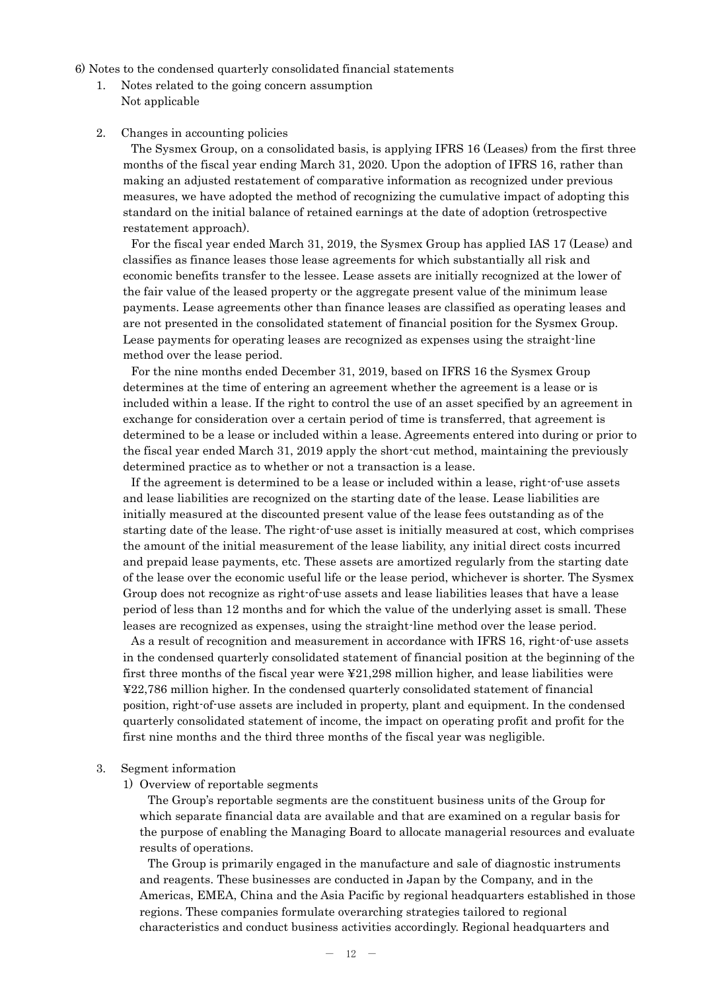6) Notes to the condensed quarterly consolidated financial statements

1. Notes related to the going concern assumption Not applicable

#### 2. Changes in accounting policies

The Sysmex Group, on a consolidated basis, is applying IFRS 16 (Leases) from the first three months of the fiscal year ending March 31, 2020. Upon the adoption of IFRS 16, rather than making an adjusted restatement of comparative information as recognized under previous measures, we have adopted the method of recognizing the cumulative impact of adopting this standard on the initial balance of retained earnings at the date of adoption (retrospective restatement approach).

For the fiscal year ended March 31, 2019, the Sysmex Group has applied IAS 17 (Lease) and classifies as finance leases those lease agreements for which substantially all risk and economic benefits transfer to the lessee. Lease assets are initially recognized at the lower of the fair value of the leased property or the aggregate present value of the minimum lease payments. Lease agreements other than finance leases are classified as operating leases and are not presented in the consolidated statement of financial position for the Sysmex Group. Lease payments for operating leases are recognized as expenses using the straight-line method over the lease period.

For the nine months ended December 31, 2019, based on IFRS 16 the Sysmex Group determines at the time of entering an agreement whether the agreement is a lease or is included within a lease. If the right to control the use of an asset specified by an agreement in exchange for consideration over a certain period of time is transferred, that agreement is determined to be a lease or included within a lease. Agreements entered into during or prior to the fiscal year ended March 31, 2019 apply the short-cut method, maintaining the previously determined practice as to whether or not a transaction is a lease.

If the agreement is determined to be a lease or included within a lease, right-of-use assets and lease liabilities are recognized on the starting date of the lease. Lease liabilities are initially measured at the discounted present value of the lease fees outstanding as of the starting date of the lease. The right-of-use asset is initially measured at cost, which comprises the amount of the initial measurement of the lease liability, any initial direct costs incurred and prepaid lease payments, etc. These assets are amortized regularly from the starting date of the lease over the economic useful life or the lease period, whichever is shorter. The Sysmex Group does not recognize as right-of-use assets and lease liabilities leases that have a lease period of less than 12 months and for which the value of the underlying asset is small. These leases are recognized as expenses, using the straight-line method over the lease period.

As a result of recognition and measurement in accordance with IFRS 16, right-of-use assets in the condensed quarterly consolidated statement of financial position at the beginning of the first three months of the fiscal year were ¥21,298 million higher, and lease liabilities were ¥22,786 million higher. In the condensed quarterly consolidated statement of financial position, right-of-use assets are included in property, plant and equipment. In the condensed quarterly consolidated statement of income, the impact on operating profit and profit for the first nine months and the third three months of the fiscal year was negligible.

#### 3. Segment information

#### 1) Overview of reportable segments

The Group's reportable segments are the constituent business units of the Group for which separate financial data are available and that are examined on a regular basis for the purpose of enabling the Managing Board to allocate managerial resources and evaluate results of operations.

The Group is primarily engaged in the manufacture and sale of diagnostic instruments and reagents. These businesses are conducted in Japan by the Company, and in the Americas, EMEA, China and the Asia Pacific by regional headquarters established in those regions. These companies formulate overarching strategies tailored to regional characteristics and conduct business activities accordingly. Regional headquarters and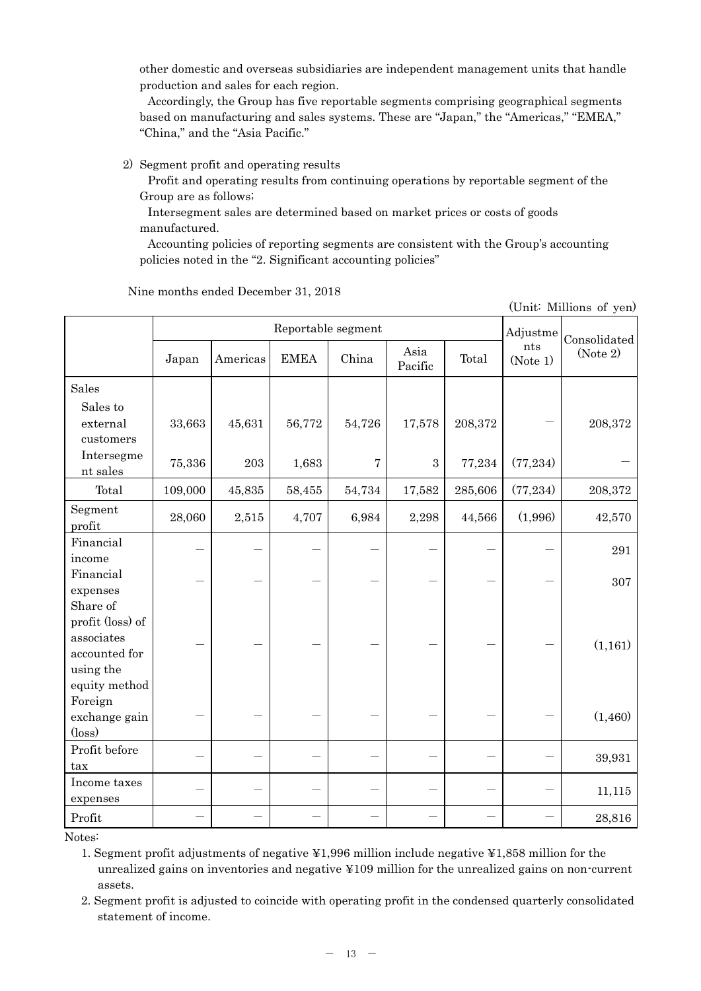other domestic and overseas subsidiaries are independent management units that handle production and sales for each region.

Accordingly, the Group has five reportable segments comprising geographical segments based on manufacturing and sales systems. These are "Japan," the "Americas," "EMEA," "China," and the "Asia Pacific."

2) Segment profit and operating results

Profit and operating results from continuing operations by reportable segment of the Group are as follows;

Intersegment sales are determined based on market prices or costs of goods manufactured.

Accounting policies of reporting segments are consistent with the Group's accounting policies noted in the "2. Significant accounting policies"

|                                                                                           |         | (Unit: Millions of yen) |              |        |                 |         |                 |          |
|-------------------------------------------------------------------------------------------|---------|-------------------------|--------------|--------|-----------------|---------|-----------------|----------|
|                                                                                           |         | Adjustme                | Consolidated |        |                 |         |                 |          |
|                                                                                           | Japan   | Americas                | <b>EMEA</b>  | China  | Asia<br>Pacific | Total   | nts<br>(Note 1) | (Note 2) |
| Sales                                                                                     |         |                         |              |        |                 |         |                 |          |
| Sales to<br>external<br>customers                                                         | 33,663  | 45,631                  | 56,772       | 54,726 | 17,578          | 208,372 |                 | 208,372  |
| Intersegme<br>nt sales                                                                    | 75,336  | $\,203$                 | 1,683        | 7      | $\,3$           | 77,234  | (77, 234)       |          |
| Total                                                                                     | 109,000 | 45,835                  | 58,455       | 54,734 | 17,582          | 285,606 | (77, 234)       | 208,372  |
| Segment<br>profit                                                                         | 28,060  | 2,515                   | 4,707        | 6,984  | 2,298           | 44,566  | (1,996)         | 42,570   |
| Financial<br>income                                                                       |         |                         |              |        |                 |         |                 | 291      |
| Financial<br>expenses                                                                     |         |                         |              |        |                 |         |                 | 307      |
| Share of<br>profit (loss) of<br>associates<br>accounted for<br>using the<br>equity method |         |                         |              |        |                 |         |                 | (1,161)  |
| Foreign<br>exchange gain<br>$(\text{loss})$                                               |         |                         |              |        |                 |         |                 | (1,460)  |
| Profit before<br>tax                                                                      |         |                         |              |        |                 |         |                 | 39,931   |
| Income taxes<br>expenses                                                                  |         |                         |              |        |                 |         |                 | 11,115   |
| Profit                                                                                    |         |                         |              |        |                 |         |                 | 28,816   |

Nine months ended December 31, 2018

Notes:

1. Segment profit adjustments of negative ¥1,996 million include negative ¥1,858 million for the unrealized gains on inventories and negative ¥109 million for the unrealized gains on non-current assets.

2. Segment profit is adjusted to coincide with operating profit in the condensed quarterly consolidated statement of income.